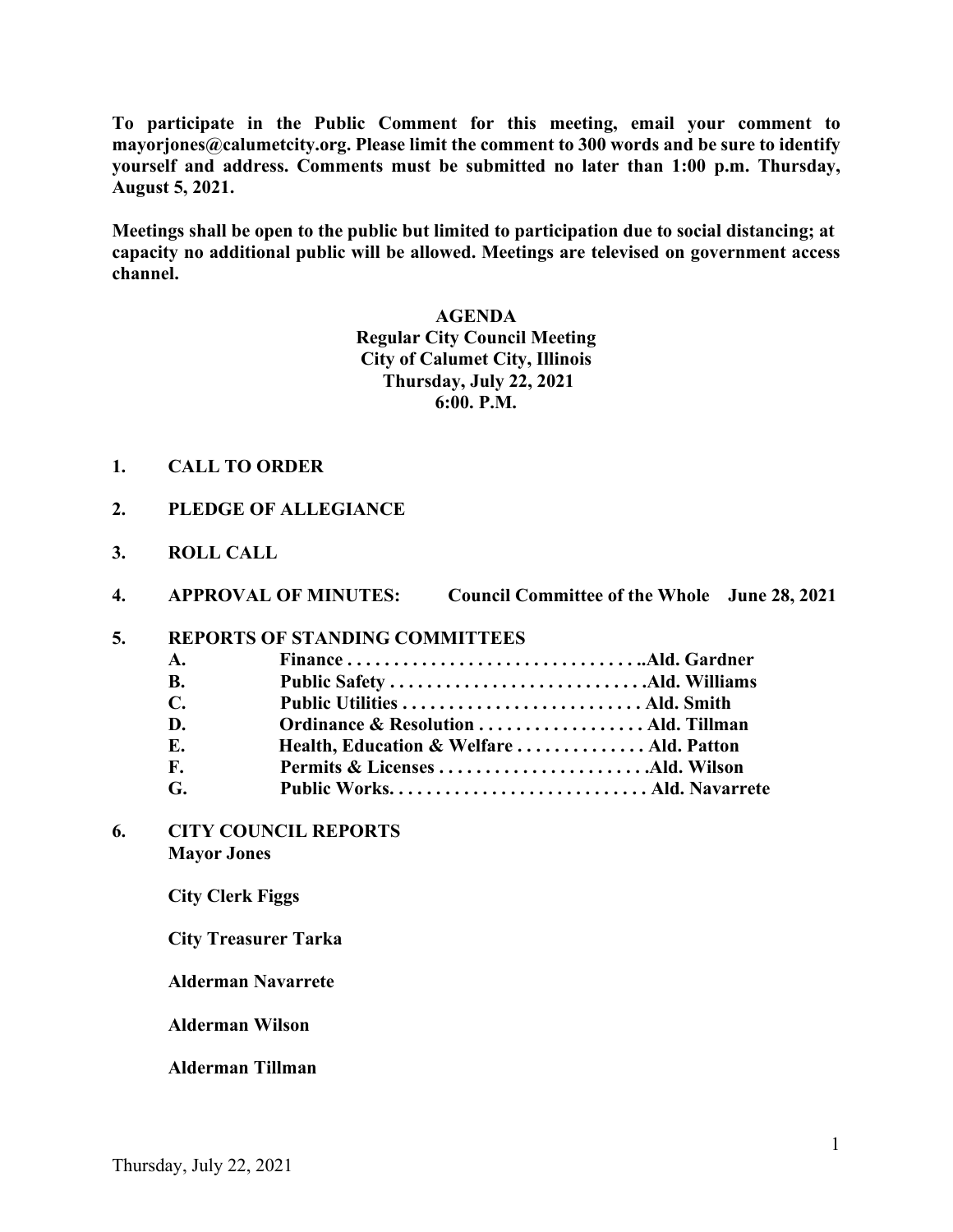**To participate in the Public Comment for this meeting, email your comment to mayorjones@calumetcity.org. Please limit the comment to 300 words and be sure to identify yourself and address. Comments must be submitted no later than 1:00 p.m. Thursday, August 5, 2021.**

**Meetings shall be open to the public but limited to participation due to social distancing; at capacity no additional public will be allowed. Meetings are televised on government access channel.**

#### **AGENDA**

**Regular City Council Meeting City of Calumet City, Illinois Thursday, July 22, 2021 6:00. P.M.**

- **1. CALL TO ORDER**
- **2. PLEDGE OF ALLEGIANCE**
- **3. ROLL CALL**
- **4. APPROVAL OF MINUTES: Council Committee of the Whole June 28, 2021**

### **5. REPORTS OF STANDING COMMITTEES**

| $\mathbf{A}$ .         |                                          |  |
|------------------------|------------------------------------------|--|
| <b>B.</b>              |                                          |  |
| $\mathbb{C}$           |                                          |  |
| D.                     |                                          |  |
| E.                     | Health, Education & Welfare  Ald. Patton |  |
| $\mathbf{F}_{\bullet}$ |                                          |  |
| G.                     |                                          |  |
|                        |                                          |  |

**6. CITY COUNCIL REPORTS Mayor Jones** 

**City Clerk Figgs**

 **City Treasurer Tarka**

**Alderman Navarrete**

**Alderman Wilson**

**Alderman Tillman**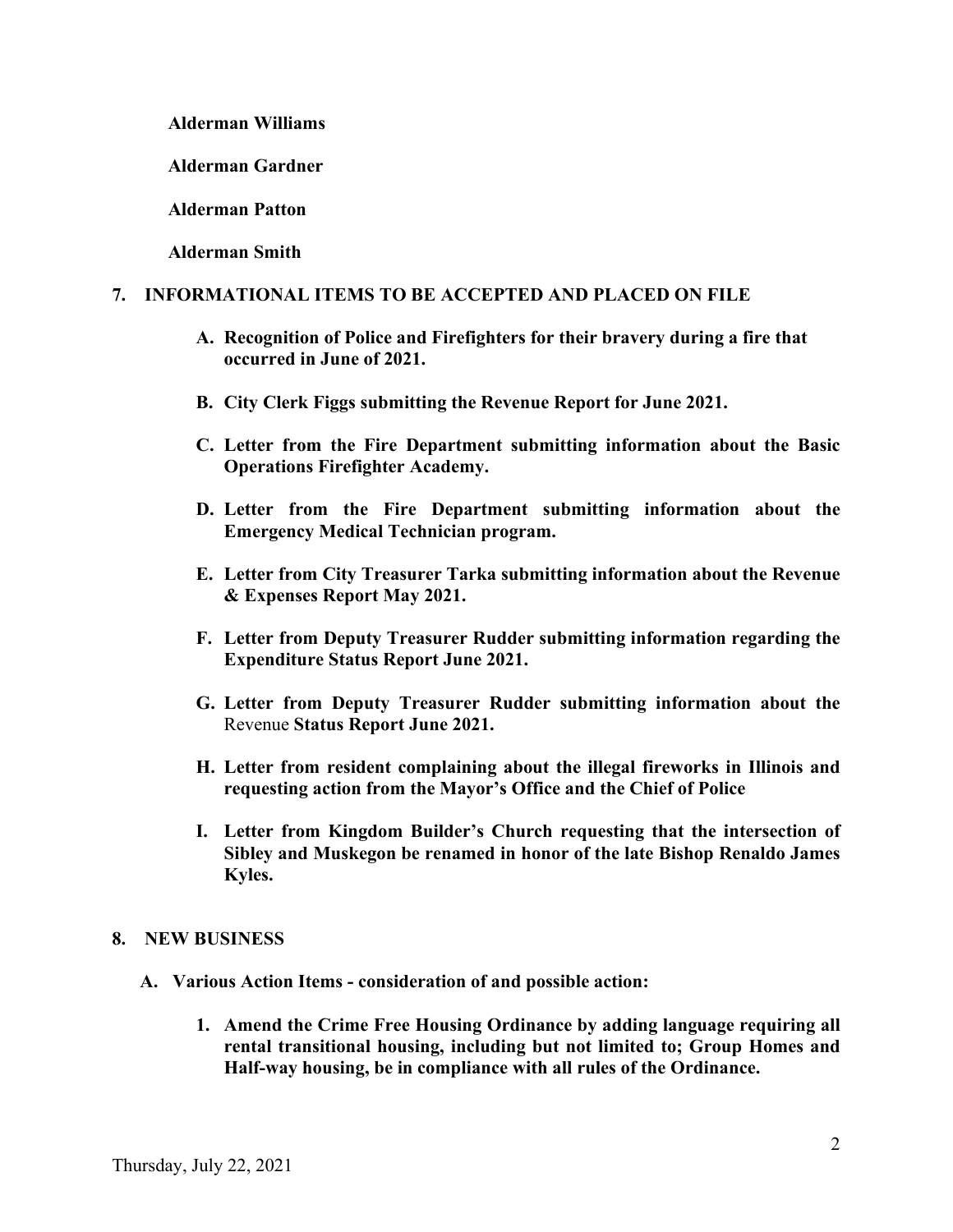**Alderman Williams**

**Alderman Gardner**

**Alderman Patton**

**Alderman Smith**

# **7. INFORMATIONAL ITEMS TO BE ACCEPTED AND PLACED ON FILE**

- **A. Recognition of Police and Firefighters for their bravery during a fire that occurred in June of 2021.**
- **B. City Clerk Figgs submitting the Revenue Report for June 2021.**
- **C. Letter from the Fire Department submitting information about the Basic Operations Firefighter Academy.**
- **D. Letter from the Fire Department submitting information about the Emergency Medical Technician program.**
- **E. Letter from City Treasurer Tarka submitting information about the Revenue & Expenses Report May 2021.**
- **F. Letter from Deputy Treasurer Rudder submitting information regarding the Expenditure Status Report June 2021.**
- **G. Letter from Deputy Treasurer Rudder submitting information about the**  Revenue **Status Report June 2021.**
- **H. Letter from resident complaining about the illegal fireworks in Illinois and requesting action from the Mayor's Office and the Chief of Police**
- **I. Letter from Kingdom Builder's Church requesting that the intersection of Sibley and Muskegon be renamed in honor of the late Bishop Renaldo James Kyles.**

### **8. NEW BUSINESS**

- **A. Various Action Items - consideration of and possible action:** 
	- **1. Amend the Crime Free Housing Ordinance by adding language requiring all rental transitional housing, including but not limited to; Group Homes and Half-way housing, be in compliance with all rules of the Ordinance.**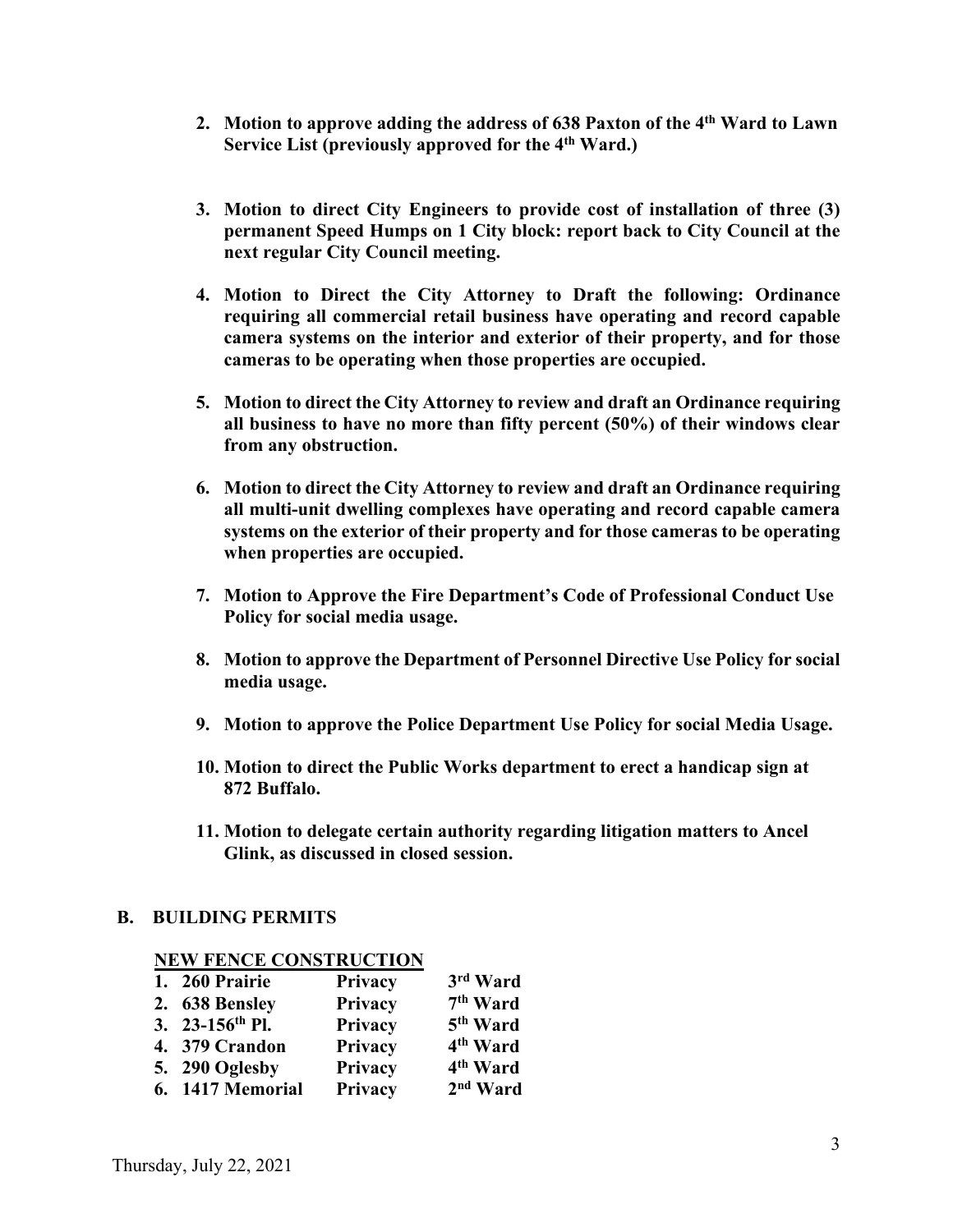- **2. Motion to approve adding the address of 638 Paxton of the 4th Ward to Lawn Service List (previously approved for the 4th Ward.)**
- **3. Motion to direct City Engineers to provide cost of installation of three (3) permanent Speed Humps on 1 City block: report back to City Council at the next regular City Council meeting.**
- **4. Motion to Direct the City Attorney to Draft the following: Ordinance requiring all commercial retail business have operating and record capable camera systems on the interior and exterior of their property, and for those cameras to be operating when those properties are occupied.**
- **5. Motion to direct the City Attorney to review and draft an Ordinance requiring all business to have no more than fifty percent (50%) of their windows clear from any obstruction.**
- **6. Motion to direct the City Attorney to review and draft an Ordinance requiring all multi-unit dwelling complexes have operating and record capable camera systems on the exterior of their property and for those cameras to be operating when properties are occupied.**
- **7. Motion to Approve the Fire Department's Code of Professional Conduct Use Policy for social media usage.**
- **8. Motion to approve the Department of Personnel Directive Use Policy for social media usage.**
- **9. Motion to approve the Police Department Use Policy for social Media Usage.**
- **10. Motion to direct the Public Works department to erect a handicap sign at 872 Buffalo.**
- **11. Motion to delegate certain authority regarding litigation matters to Ancel Glink, as discussed in closed session.**

### **B. BUILDING PERMITS**

|    | <b>INEW PERCE CONSTRUCTION</b> |         |                      |
|----|--------------------------------|---------|----------------------|
| 1. | 260 Prairie                    | Privacy | 3rd Ward             |
|    | 2. 638 Bensley                 | Privacy | 7 <sup>th</sup> Ward |
|    | 3. 23-156th Pl.                | Privacy | 5 <sup>th</sup> Ward |
|    | 4. 379 Crandon                 | Privacy | 4 <sup>th</sup> Ward |
|    | 5. 290 Oglesby                 | Privacy | 4 <sup>th</sup> Ward |
|    | 6. 1417 Memorial               | Privacy | 2 <sup>nd</sup> Ward |

# **NEW FENCE CONSTRUCTION**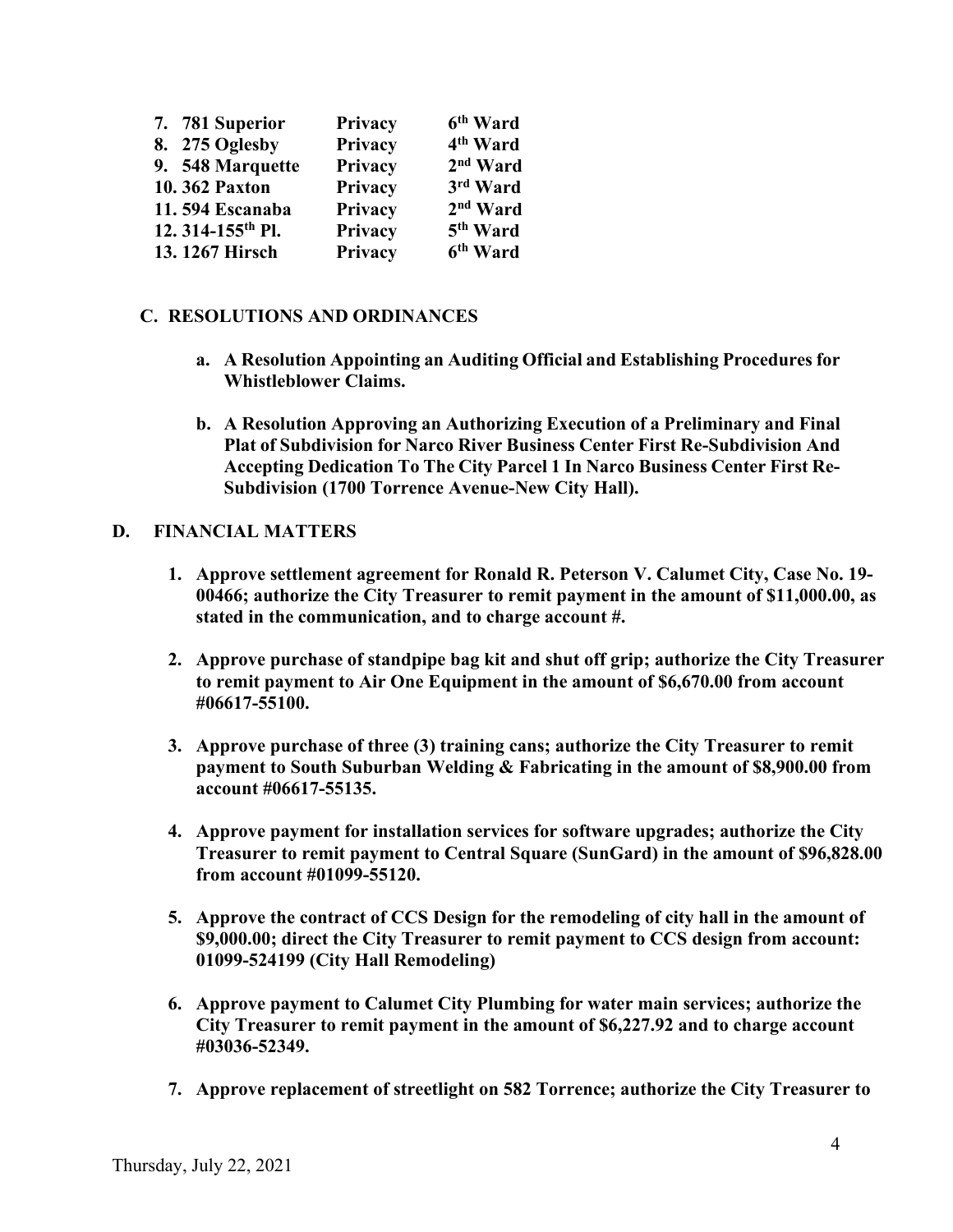| 7. 781 Superior              | Privacy | 6 <sup>th</sup> Ward |
|------------------------------|---------|----------------------|
| 8. 275 Oglesby               | Privacy | 4 <sup>th</sup> Ward |
| 9. 548 Marquette             | Privacy | 2 <sup>nd</sup> Ward |
| 10.362 Paxton                | Privacy | 3rd Ward             |
| 11.594 Escanaba              | Privacy | 2 <sup>nd</sup> Ward |
| 12.314-155 <sup>th</sup> Pl. | Privacy | 5 <sup>th</sup> Ward |
| 13.1267 Hirsch               | Privacy | 6 <sup>th</sup> Ward |

## **C. RESOLUTIONS AND ORDINANCES**

- **a. A Resolution Appointing an Auditing Official and Establishing Procedures for Whistleblower Claims.**
- **b. A Resolution Approving an Authorizing Execution of a Preliminary and Final Plat of Subdivision for Narco River Business Center First Re-Subdivision And Accepting Dedication To The City Parcel 1 In Narco Business Center First Re-Subdivision (1700 Torrence Avenue-New City Hall).**

## **D. FINANCIAL MATTERS**

- **1. Approve settlement agreement for Ronald R. Peterson V. Calumet City, Case No. 19- 00466; authorize the City Treasurer to remit payment in the amount of \$11,000.00, as stated in the communication, and to charge account #.**
- **2. Approve purchase of standpipe bag kit and shut off grip; authorize the City Treasurer to remit payment to Air One Equipment in the amount of \$6,670.00 from account #06617-55100.**
- **3. Approve purchase of three (3) training cans; authorize the City Treasurer to remit payment to South Suburban Welding & Fabricating in the amount of \$8,900.00 from account #06617-55135.**
- **4. Approve payment for installation services for software upgrades; authorize the City Treasurer to remit payment to Central Square (SunGard) in the amount of \$96,828.00 from account #01099-55120.**
- **5. Approve the contract of CCS Design for the remodeling of city hall in the amount of \$9,000.00; direct the City Treasurer to remit payment to CCS design from account: 01099-524199 (City Hall Remodeling)**
- **6. Approve payment to Calumet City Plumbing for water main services; authorize the City Treasurer to remit payment in the amount of \$6,227.92 and to charge account #03036-52349.**
- **7. Approve replacement of streetlight on 582 Torrence; authorize the City Treasurer to**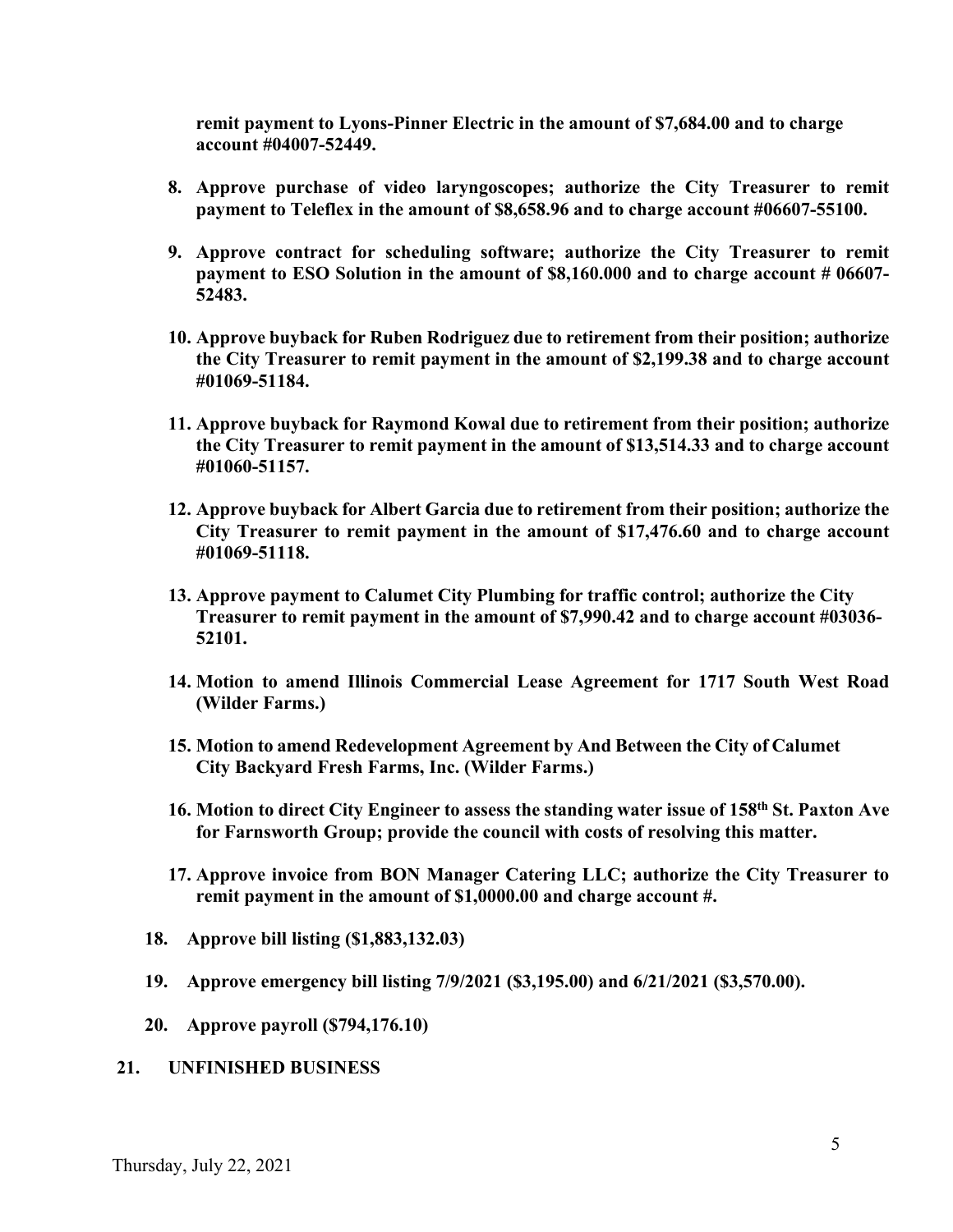**remit payment to Lyons-Pinner Electric in the amount of \$7,684.00 and to charge account #04007-52449.**

- **8. Approve purchase of video laryngoscopes; authorize the City Treasurer to remit payment to Teleflex in the amount of \$8,658.96 and to charge account #06607-55100.**
- **9. Approve contract for scheduling software; authorize the City Treasurer to remit payment to ESO Solution in the amount of \$8,160.000 and to charge account # 06607- 52483.**
- **10. Approve buyback for Ruben Rodriguez due to retirement from their position; authorize the City Treasurer to remit payment in the amount of \$2,199.38 and to charge account #01069-51184.**
- **11. Approve buyback for Raymond Kowal due to retirement from their position; authorize the City Treasurer to remit payment in the amount of \$13,514.33 and to charge account #01060-51157.**
- **12. Approve buyback for Albert Garcia due to retirement from their position; authorize the City Treasurer to remit payment in the amount of \$17,476.60 and to charge account #01069-51118.**
- **13. Approve payment to Calumet City Plumbing for traffic control; authorize the City Treasurer to remit payment in the amount of \$7,990.42 and to charge account #03036- 52101.**
- **14. Motion to amend Illinois Commercial Lease Agreement for 1717 South West Road (Wilder Farms.)**
- **15. Motion to amend Redevelopment Agreement by And Between the City of Calumet City Backyard Fresh Farms, Inc. (Wilder Farms.)**
- **16. Motion to direct City Engineer to assess the standing water issue of 158th St. Paxton Ave for Farnsworth Group; provide the council with costs of resolving this matter.**
- **17. Approve invoice from BON Manager Catering LLC; authorize the City Treasurer to remit payment in the amount of \$1,0000.00 and charge account #.**
- **18. Approve bill listing (\$1,883,132.03)**
- **19. Approve emergency bill listing 7/9/2021 (\$3,195.00) and 6/21/2021 (\$3,570.00).**
- **20. Approve payroll (\$794,176.10)**

#### **21. UNFINISHED BUSINESS**